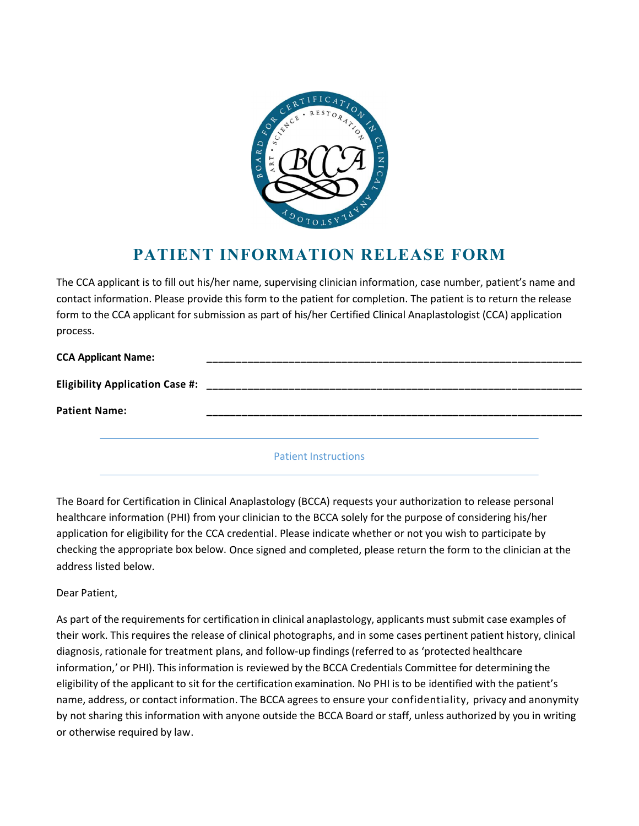

## PATIENT INFORMATION RELEASE FORM

The CCA applicant is to fill out his/her name, supervising clinician information, case number, patient's name and contact information. Please provide this form to the patient for completion. The patient is to return the release form to the CCA applicant for submission as part of his/her Certified Clinical Anaplastologist (CCA) application process.

| <b>CCA Applicant Name:</b>             | _______________             |  |
|----------------------------------------|-----------------------------|--|
| <b>Eligibility Application Case #:</b> |                             |  |
| <b>Patient Name:</b>                   |                             |  |
|                                        |                             |  |
|                                        | <b>Patient Instructions</b> |  |

The Board for Certification in Clinical Anaplastology (BCCA) requests your authorization to release personal healthcare information (PHI) from your clinician to the BCCA solely for the purpose of considering his/her application for eligibility for the CCA credential. Please indicate whether or not you wish to participate by checking the appropriate box below. Once signed and completed, please return the form to the clinician at the address listed below.

Dear Patient,

As part of the requirements for certification in clinical anaplastology, applicants must submit case examples of their work. This requires the release of clinical photographs, and in some cases pertinent patient history, clinical diagnosis, rationale for treatment plans, and follow-up findings (referred to as 'protected healthcare information,' or PHI). This information is reviewed by the BCCA Credentials Committee for determining the eligibility of the applicant to sit for the certification examination. No PHI is to be identified with the patient's name, address, or contact information. The BCCA agrees to ensure your confidentiality, privacy and anonymity by not sharing this information with anyone outside the BCCA Board or staff, unless authorized by you in writing or otherwise required by law.